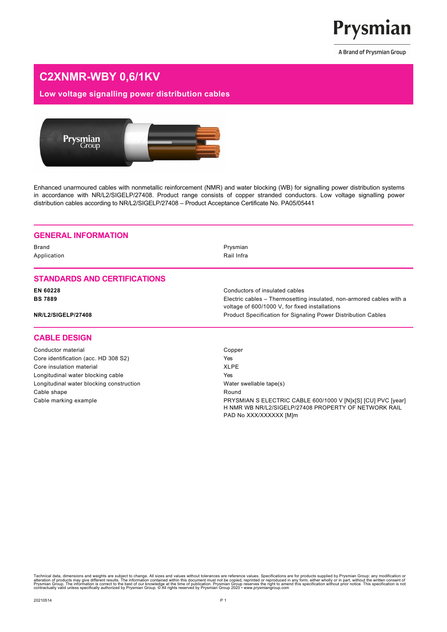

# **C2XNMR-WBY 0,6/1KV**

## **Low voltage signalling power distribution cables**



Enhanced unarmoured cables with nonmetallic reinforcement (NMR) and water blocking (WB) for signalling power distribution systems in accordance with NR/L2/SIGELP/27408. Product range consists of copper stranded conductors. Low voltage signalling power distribution cables according to NR/L2/SIGELP/27408 – Product Acceptance Certificate No. PA05/05441

#### **GENERAL INFORMATION**

Brand Prysmian Application **Application Rail Infra** 

#### **STANDARDS AND CERTIFICATIONS**

#### **CABLE DESIGN**

Conductor material Conductor material Conductor material Compensation Competition Competition Competition Competition Competition Competition Competition Competition Competition Competition Competition Competition Competit Core identification (acc. HD 308 S2) Yes Core insulation material **XLPE** Longitudinal water blocking cable **Yes** Longitudinal water blocking construction example that water swellable tape(s) Cable shape **Round** Round

**EN 60228** Conductors of insulated cables **BS 7889** Electric cables – Thermosetting insulated, non-armored cables with a voltage of 600/1000 V, for fixed installations **NR/L2/SIGELP/27408** Product Specification for Signaling Power Distribution Cables

Cable marking example **Example 2000** Cable marking example **PRYSMIAN S ELECTRIC CABLE 600/1000 V [N]x[S]** [CU] PVC [year] H NMR WB NR/L2/SIGELP/27408 PROPERTY OF NETWORK RAIL PAD No XXX/XXXXXX [M]m

Technical data, dimensions and weights are subject to change. All sizes and values without tolerances are reference values. Specifications are for products supplied by Prysmian Offication and the mediator of the mediator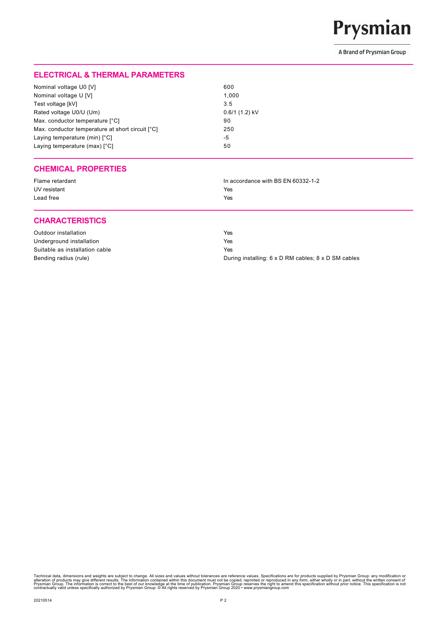

### **ELECTRICAL & THERMAL PARAMETERS**

| Nominal voltage U0 [V]                           | 600             |
|--------------------------------------------------|-----------------|
| Nominal voltage U [V]                            | 1.000           |
| Test voltage [kV]                                | 3.5             |
| Rated voltage U0/U (Um)                          | $0.6/1(1.2)$ kV |
| Max. conductor temperature [°C]                  | 90              |
| Max. conductor temperature at short circuit [°C] | 250             |
| Laying temperature (min) [°C]                    | -5              |
| Laying temperature (max) [°C]                    | 50              |

#### **CHEMICAL PROPERTIES**

| Flame retardant | In accordance with BS EN 60332-1-2 |
|-----------------|------------------------------------|
| UV resistant    | Yes                                |
| Lead free       | Yes                                |

#### **CHARACTERISTICS**

| Outdoor installation           | Yes                                                 |
|--------------------------------|-----------------------------------------------------|
| Underground installation       | Yes                                                 |
| Suitable as installation cable | Yes                                                 |
| Bending radius (rule)          | During installing: 6 x D RM cables; 8 x D SM cables |

Technical data, dimensions and weights are subject to change. All sizes and values without tolerances are reference values. Specifications are for products supplied by Prysmian Offication and the mediator of the mediator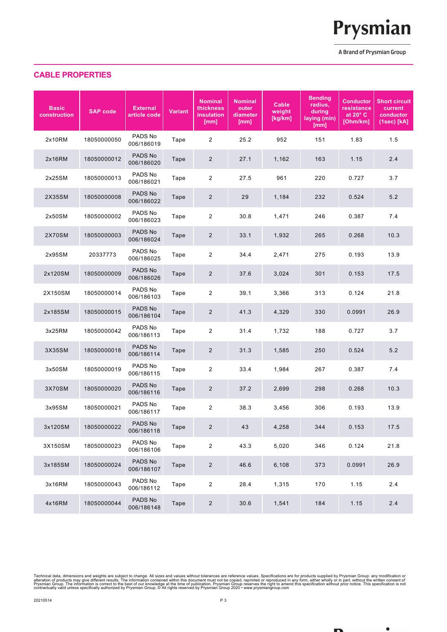

 $\bullet$ 

## **CABLE PROPERTIES**

| <b>Basic</b><br>construction | <b>SAP code</b> | <b>External</b><br>article code | <b>Variant</b> | <b>Nominal</b><br>thickness<br>insulation<br>[mm] | <b>Nominal</b><br>outer<br>diameter<br>[mm] | Cable<br>weight<br>[kg/km] | <b>Bending</b><br>radius,<br>during<br>laying (min)<br>[mm] | <b>Conductor</b><br>resistance<br>at $20^\circ$ C<br>[Ohm/km] | <b>Short circuit</b><br>current<br>conductor<br>(1sec) [kA] |
|------------------------------|-----------------|---------------------------------|----------------|---------------------------------------------------|---------------------------------------------|----------------------------|-------------------------------------------------------------|---------------------------------------------------------------|-------------------------------------------------------------|
| 2x10RM                       | 18050000050     | PADS No<br>006/186019           | Tape           | $\overline{2}$                                    | 25.2                                        | 952                        | 151                                                         | 1.83                                                          | 1.5                                                         |
| 2x16RM                       | 18050000012     | PADS No<br>006/186020           | Tape           | $\overline{2}$                                    | 27.1                                        | 1,162                      | 163                                                         | 1.15                                                          | 2.4                                                         |
| 2x25SM                       | 18050000013     | PADS No<br>006/186021           | Tape           | 2                                                 | 27.5                                        | 961                        | 220                                                         | 0.727                                                         | 3.7                                                         |
| 2X35SM                       | 18050000008     | PADS No<br>006/186022           | Tape           | $\overline{2}$                                    | 29                                          | 1,184                      | 232                                                         | 0.524                                                         | 5.2                                                         |
| 2x50SM                       | 18050000002     | PADS No<br>006/186023           | Tape           | $\overline{2}$                                    | 30.8                                        | 1,471                      | 246                                                         | 0.387                                                         | 7.4                                                         |
| 2X70SM                       | 18050000003     | PADS No<br>006/186024           | Tape           | $\overline{2}$                                    | 33.1                                        | 1,932                      | 265                                                         | 0.268                                                         | 10.3                                                        |
| 2x95SM                       | 20337773        | PADS No<br>006/186025           | Tape           | $\overline{2}$                                    | 34.4                                        | 2,471                      | 275                                                         | 0.193                                                         | 13.9                                                        |
| 2x120SM                      | 18050000009     | PADS No<br>006/186026           | Tape           | $\overline{2}$                                    | 37.6                                        | 3,024                      | 301                                                         | 0.153                                                         | 17.5                                                        |
| 2X150SM                      | 18050000014     | PADS No<br>006/186103           | Tape           | 2                                                 | 39.1                                        | 3,366                      | 313                                                         | 0.124                                                         | 21.8                                                        |
| 2x185SM                      | 18050000015     | PADS No<br>006/186104           | Tape           | $\overline{2}$                                    | 41.3                                        | 4,329                      | 330                                                         | 0.0991                                                        | 26.9                                                        |
| 3x25RM                       | 18050000042     | PADS No<br>006/186113           | Tape           | $\overline{2}$                                    | 31.4                                        | 1,732                      | 188                                                         | 0.727                                                         | 3.7                                                         |
| 3X35SM                       | 18050000018     | PADS No<br>006/186114           | Tape           | $\overline{2}$                                    | 31.3                                        | 1,585                      | 250                                                         | 0.524                                                         | 5.2                                                         |
| 3x50SM                       | 18050000019     | PADS No<br>006/186115           | Tape           | 2                                                 | 33.4                                        | 1,984                      | 267                                                         | 0.387                                                         | 7.4                                                         |
| 3X70SM                       | 18050000020     | PADS No<br>006/186116           | Tape           | $\overline{2}$                                    | 37.2                                        | 2,699                      | 298                                                         | 0.268                                                         | 10.3                                                        |
| 3x95SM                       | 18050000021     | PADS No<br>006/186117           | Tape           | $\overline{2}$                                    | 38.3                                        | 3,456                      | 306                                                         | 0.193                                                         | 13.9                                                        |
| 3x120SM                      | 18050000022     | PADS No<br>006/186118           | Tape           | $\overline{c}$                                    | 43                                          | 4,258                      | 344                                                         | 0.153                                                         | 17.5                                                        |
| 3X150SM                      | 18050000023     | PADS No<br>006/186106           | Tape           | $\overline{2}$                                    | 43.3                                        | 5,020                      | 346                                                         | 0.124                                                         | 21.8                                                        |
| 3x185SM                      | 18050000024     | PADS No<br>006/186107           | Tape           | $\overline{c}$                                    | 46.6                                        | 6,108                      | 373                                                         | 0.0991                                                        | 26.9                                                        |
| 3x16RM                       | 18050000043     | PADS No<br>006/186112           | Tape           | $\overline{c}$                                    | 28.4                                        | 1,315                      | 170                                                         | 1.15                                                          | 2.4                                                         |
| 4x16RM                       | 18050000044     | PADS No<br>006/186148           | Tape           | $\overline{2}$                                    | 30.6                                        | 1,541                      | 184                                                         | 1.15                                                          | 2.4                                                         |

Technical data, dimensions and weights are subject to change. All sizes and values without tolerances are reference values. Specifications are for products supplied by Prysmian Offication at products may form, either whol